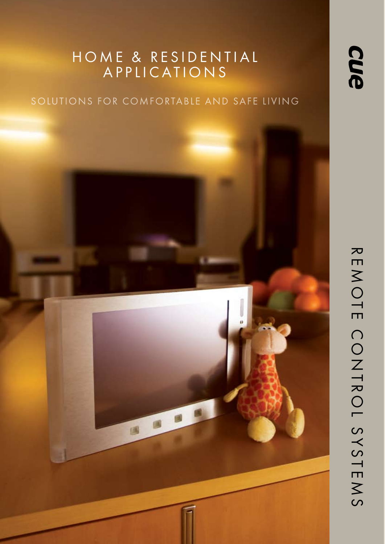### HOME & RESIDENTIAL A P P L I C A T I O N S

### SOLUTIONS FOR COMFORTABLE AND SAFE LIVING

**OB** 

国

 $\overline{\mathbf{z}}$  E M O T E C O N T R O L  $\mathcal{C}$ Y S T E M S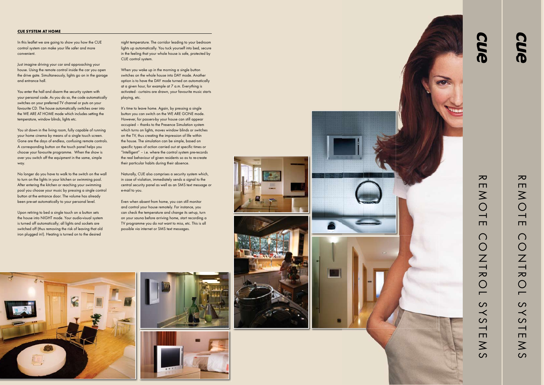#### **CUE SYSTEM AT HOME**

In this leaflet we are going to show you how the CUE control system can make your life safer and more convenient.

Just imagine driving your car and approaching your house. Using the remote control inside the car you open the drive gate. Simultaneously, lights go on in the garage and entrance hall.

You enter the hall and disarm the security system with your personal code. As you do so, the code automatically switches on your preferred TV channel or puts on your favourite CD. The house automatically switches over into the WE ARE AT HOME mode which includes setting the temperature, window blinds, lights etc.

You sit down in the living room, fully capable of running your home cinema by means of a single touch screen. Gone are the days of endless, confusing remote controls. A corresponding button on the touch panel helps you choose your favourite programme. When the show is over you switch off the equipment in the same, simple way.

No longer do you have to walk to the switch on the wall to turn on the lights in your kitchen or swimming pool. After entering the kitchen or reaching your swimming pool you choose your music by pressing a single control button at the entrance door. The volume has already been pre-set automatically to your personal level.

Upon retiring to bed a single touch on a button sets the house into NIGHT mode. Your audio-visual system is turned off automatically; all lights and sockets are switched off (thus removing the risk of leaving that old iron plugged in!). Heating is turned on to the desired

night temperature. The corridor leading to your bedroom lights up automatically. You tuck yourself into bed, secure in the feeling that your whole house is safe, protected by CUE control system.

When you wake up in the morning a single button switches on the whole house into DAY mode. Another option is to have the DAY mode turned on automatically at a given hour, for example at 7 a.m. Everything is activated - curtains are drawn, your favourite music starts playing, etc.

It's time to leave home. Again, by pressing a single button you can switch on the WE ARE GONE mode. However, for passers-by your house can still appear occupied – thanks to the Presence Simulation system which turns on lights, moves window blinds or switches on the TV, thus creating the impression of life within the house. The simulation can be simple, based on specific types of action carried out at specific times or "Intelligent" – i.e. where the control system pre-records the real behaviour of given residents so as to re-create their particular habits during their absence.

Naturally, CUE also comprises a security system which, in case of violation, immediately sends a signal to the central security panel as well as an SMS text message or e-mail to you.

Even when absent from home, you can still monitor and control your house remotely. For instance, you can check the temperature and change its set-up, turn on your sauna before arriving home, start recording a TV programme you do not want to miss, etc. This is all possible via internet or SMS text messages.





you.

WINDOW DRAPES, BLACKOUTS **AND WINDOW TREATMENTS**

The control system can automatically manipulate window blinds according to the intensity of sunlight. This helps regulate illumination and temperature in the room. In summer it can reduce the cost of air-conditioning in rooms subject to direct sunlight. In case of strong wind the system ensures that window blinds and awnings are retracted, protecting them from damage.

**AUTOR CONTROL AND STREET** 

 $\Box$ 

 $\bigcap$ 

O N T R O

 $\overline{\phantom{0}}$ 

 $\overline{S}$  $\prec$  $\overline{\mathcal{S}}$ 

 $\frac{1}{\Box}$ 

 $\overline{\mathsf{S}}$ 

 $\overline{\mathcal{S}}$ 



 $\blacksquare$  $\overline{\phantom{a}}$   $\overline{\phantom{a}}$   $\overline{\phantom{a}}$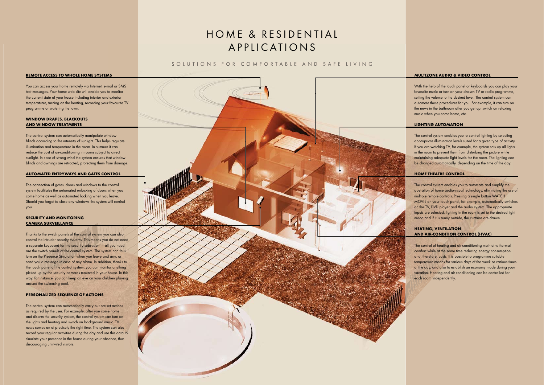# HOME & RESIDENTIAL A P P L I C A T I O N S

### SOLUTIONS FOR COMFORTABLE AND SAFE LIVING

#### **MULTIZONE AUDIO & VIDEO CONTROL**

With the help of the touch panel or keyboards you can play your favourite music or turn on your chosen TV or radio programme, setting the volume to the desired level. The control system can automate these procedures for you. For example, it can turn on the news in the bathroom after you get up, switch on relaxing music when you come home, etc.

#### **LIGHTING AUTOMATION**

The control system enables you to control lighting by selecting appropriate illumination levels suited for a given type of activity. If you are watching TV, for example, the system sets up all lights in the room to prevent them from disturbing the picture while maintaining adequate light levels for the room. The lighting can be changed automatically, depending on the time of the day.

#### **HOME THEATRE CONTROL**

The control system enables you to automate and simplify the operation of home audio-visual technology, eliminating the use of multiple remote controls. Pressing a single button WATCH MOVIE on your touch panel, for example, automatically switches on the TV, DVD player and the audio system. The appropriate inputs are selected, lighting in the room is set to the desired light mood and if it is sunny outside, the curtains are drawn.

#### **HEATING, VENTILATION AND AIR-CONDITION CONTROL (HVAC)**

The control of heating and air-conditioning maintains thermal comfort while at the same time reducing energy consumption and, therefore, costs. It is possible to programme suitable temperature modes for various days of the week or various times of the day, and also to establish an economy mode during your vacation. Heating and air-conditioning can be controlled for each room independently.

#### **REMOTE ACCESS TO WHOLE HOME SYSTEMS**

You can access your home remotely via Internet, e-mail or SMS text messages. Your home web site will enable you to monitor the current state of your house including interior and exterior temperatures, turning on the heating, recording your favourite TV programme or watering the lawn.

#### **WINDOW DRAPES, BLACKOUTS AND WINDOW TREATMENTS**

The control system can automatically manipulate window blinds according to the intensity of sunlight. This helps regulate illumination and temperature in the room. In summer it can reduce the cost of air-conditioning in rooms subject to direct sunlight. In case of strong wind the system ensures that window blinds and awnings are retracted, protecting them from damage.

#### **AUTOMATED ENTRYWAYS AND GATES CONTROL**

The connection of gates, doors and windows to the control system facilitates the automated unlocking of doors when you come home as well as automated locking when you leave. Should you forget to close any windows the system will remind you.

#### **SECURITY AND MONITORING CAMERA SURVEILLANCE**

Thanks to the switch panels of the control system you can also control the intruder security systems. This means you do not need a separate keyboard for the security subsystem – all you need are the switch panels of the control system. The system can thus turn on the Presence Simulation when you leave and arm, or send you a message in case of any alarm. In addition, thanks to the touch panel of the control system, you can monitor anything picked up by the security cameras mounted in your house. In this way, for instance, you can keep an eye on your children playing around the swimming pool.

#### **PERSONALIZED SEQUENCE OF ACTIONS**

The control system can automatically carry out pre-set actions as required by the user. For example, after you come home and disarm the security system, the control system can turn on the lights and heating and switch on background music. TV news comes on at precisely the right time. The system can also record your regular activities during the day and use this data to simulate your presence in the house during your absence, thus discouraging uninvited visitors.